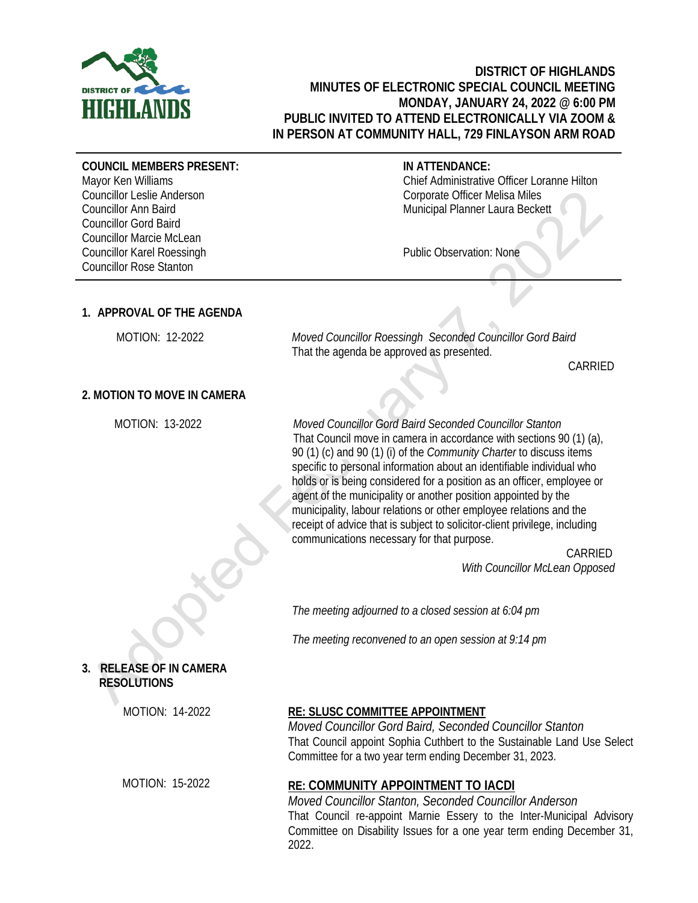

# **DISTRICT OF HIGHLANDS MINUTES OF ELECTRONIC SPECIAL COUNCIL MEETING MONDAY, JANUARY 24, 2022 @ 6:00 PM PUBLIC INVITED TO ATTEND ELECTRONICALLY VIA ZOOM & IN PERSON AT COMMUNITY HALL, 729 FINLAYSON ARM ROAD**

#### **COUNCIL MEMBERS PRESENT:**

Mayor Ken Williams Councillor Leslie Anderson Councillor Ann Baird Councillor Gord Baird Councillor Marcie McLean Councillor Karel Roessingh Councillor Rose Stanton

### **IN ATTENDANCE:**

Chief Administrative Officer Loranne Hilton Corporate Officer Melisa Miles Municipal Planner Laura Beckett

Public Observation: None

## **1. APPROVAL OF THE AGENDA**

 MOTION: 12-2022 *Moved Councillor Roessingh Seconded Councillor Gord Baird* That the agenda be approved as presented.

CARRIED

### **2. MOTION TO MOVE IN CAMERA**

MOTION: 13-2022

*Moved Councillor Gord Baird Seconded Councillor Stanton* That Council move in camera in accordance with sections 90 (1) (a), 90 (1) (c) and 90 (1) (i) of the *Community Charter* to discuss items specific to personal information about an identifiable individual who holds or is being considered for a position as an officer, employee or agent of the municipality or another position appointed by the municipality, labour relations or other employee relations and the receipt of advice that is subject to solicitor-client privilege, including communications necessary for that purpose.

> CARRIED *With Councillor McLean Opposed*

*The meeting adjourned to a closed session at 6:04 pm*

*The meeting reconvened to an open session at 9:14 pm*

# **3. RELEASE OF IN CAMERA RESOLUTIONS**

MOTION: 14-2022

MOTION: 15-2022

## **RE: SLUSC COMMITTEE APPOINTMENT**

*Moved Councillor Gord Baird, Seconded Councillor Stanton* That Council appoint Sophia Cuthbert to the Sustainable Land Use Select Committee for a two year term ending December 31, 2023.

## **RE: COMMUNITY APPOINTMENT TO IACDI**

*Moved Councillor Stanton, Seconded Councillor Anderson* That Council re-appoint Marnie Essery to the Inter-Municipal Advisory Committee on Disability Issues for a one year term ending December 31, 2022.